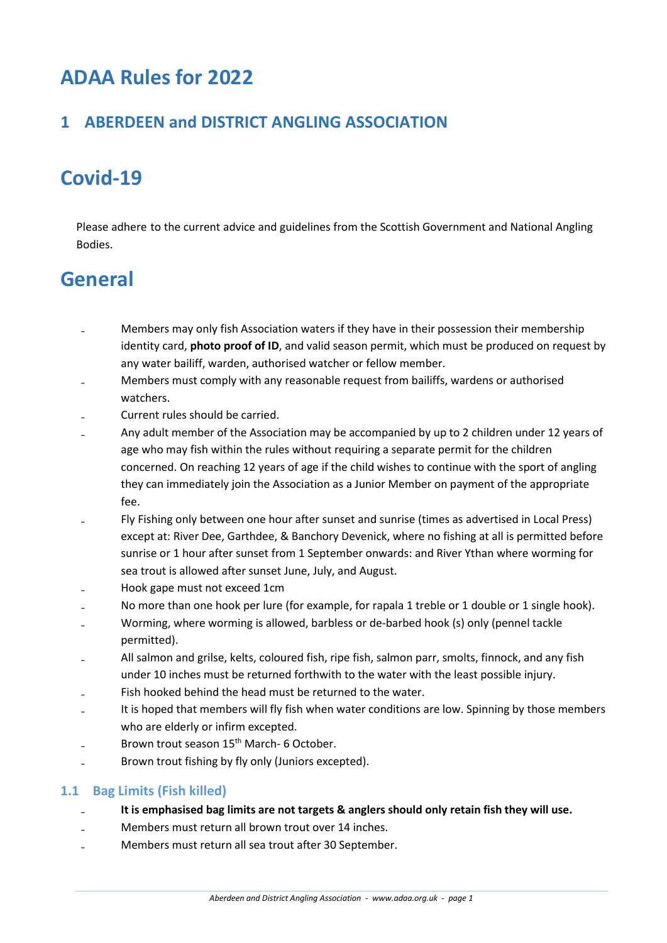# **ADAA Rules for 2022**

# **1 ABERDEEN and DISTRICT ANGLING ASSOCIATION**

# **Covid-19**

Please adhere to the current advice and guidelines from the Scottish Government and National Angling Bodies.

# **General**

- Members may only fish Association waters if they have in their possession their membership identity card, **photo proof of ID**, and valid season permit, which must be produced on request by any water bailiff, warden, authorised watcher or fellow member.
- Members must comply with any reasonable request from bailiffs, wardens or authorised watchers.
- ₋ Current rules should be carried.
- Any adult member of the Association may be accompanied by up to 2 children under 12 years of age who may fish within the rules without requiring a separate permit for the children concerned. On reaching 12 years of age if the child wishes to continue with the sport of angling they can immediately join the Association as a Junior Member on payment of the appropriate fee.
- Fly Fishing only between one hour after sunset and sunrise (times as advertised in Local Press) except at: River Dee, Garthdee, & Banchory Devenick, where no fishing at all is permitted before sunrise or 1 hour after sunset from 1 September onwards: and River Ythan where worming for sea trout is allowed after sunset June, July, and August.
- ₋ Hook gape must not exceed 1cm
- No more than one hook per lure (for example, for rapala 1 treble or 1 double or 1 single hook).
- Worming, where worming is allowed, barbless or de-barbed hook (s) only (pennel tackle permitted).
- All salmon and grilse, kelts, coloured fish, ripe fish, salmon parr, smolts, finnock, and any fish under 10 inches must be returned forthwith to the water with the least possible injury.
- Fish hooked behind the head must be returned to the water.
- It is hoped that members will fly fish when water conditions are low. Spinning by those members who are elderly or infirm excepted.
- Brown trout season 15<sup>th</sup> March- 6 October.
- ₋ Brown trout fishing by fly only (Juniors excepted).

# **1.1 Bag Limits (Fish killed)**

- ₋ **It is emphasised bag limits are not targets & anglers should only retain fish they will use.**
- Members must return all brown trout over 14 inches.
- ₋ Members must return all sea trout after 30 September.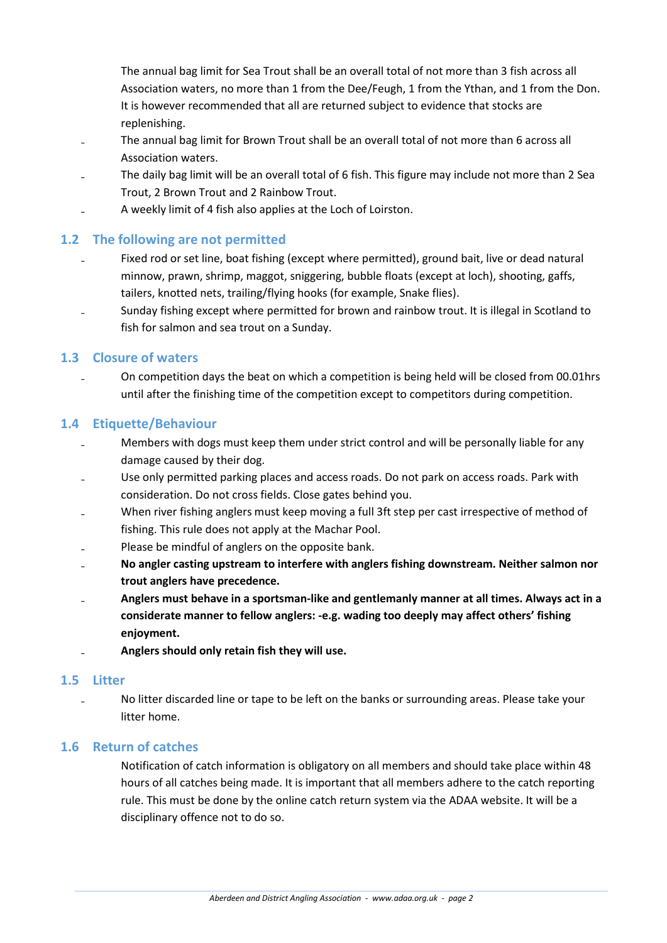The annual bag limit for Sea Trout shall be an overall total of not more than 3 fish across all Association waters, no more than 1 from the Dee/Feugh, 1 from the Ythan, and 1 from the Don. It is however recommended that all are returned subject to evidence that stocks are replenishing.

- The annual bag limit for Brown Trout shall be an overall total of not more than 6 across all Association waters.
- ₋ The daily bag limit will be an overall total of 6 fish. This figure may include not more than 2 Sea Trout, 2 Brown Trout and 2 Rainbow Trout.
- ₋ A weekly limit of 4 fish also applies at the Loch of Loirston.

# **1.2 The following are not permitted**

- Fixed rod or set line, boat fishing (except where permitted), ground bait, live or dead natural minnow, prawn, shrimp, maggot, sniggering, bubble floats (except at loch), shooting, gaffs, tailers, knotted nets, trailing/flying hooks (for example, Snake flies).
- Sunday fishing except where permitted for brown and rainbow trout. It is illegal in Scotland to fish for salmon and sea trout on a Sunday.

#### **1.3 Closure of waters**

₋ On competition days the beat on which a competition is being held will be closed from 00.01hrs until after the finishing time of the competition except to competitors during competition.

#### **1.4 Etiquette/Behaviour**

- Members with dogs must keep them under strict control and will be personally liable for any damage caused by their dog.
- Use only permitted parking places and access roads. Do not park on access roads. Park with consideration. Do not cross fields. Close gates behind you.
- When river fishing anglers must keep moving a full 3ft step per cast irrespective of method of fishing. This rule does not apply at the Machar Pool.
- Please be mindful of anglers on the opposite bank.
- ₋ **No angler casting upstream to interfere with anglers fishing downstream. Neither salmon nor trout anglers have precedence.**
- ₋ **Anglers must behave in a sportsman-like and gentlemanly manner at all times. Always act in a considerate manner to fellow anglers: -e.g. wading too deeply may affect others' fishing enjoyment.**
- ₋ **Anglers should only retain fish they will use.**

#### **1.5 Litter**

No litter discarded line or tape to be left on the banks or surrounding areas. Please take your litter home.

#### **1.6 Return of catches**

Notification of catch information is obligatory on all members and should take place within 48 hours of all catches being made. It is important that all members adhere to the catch reporting rule. This must be done by the online catch return system via the ADAA website. It will be a disciplinary offence not to do so.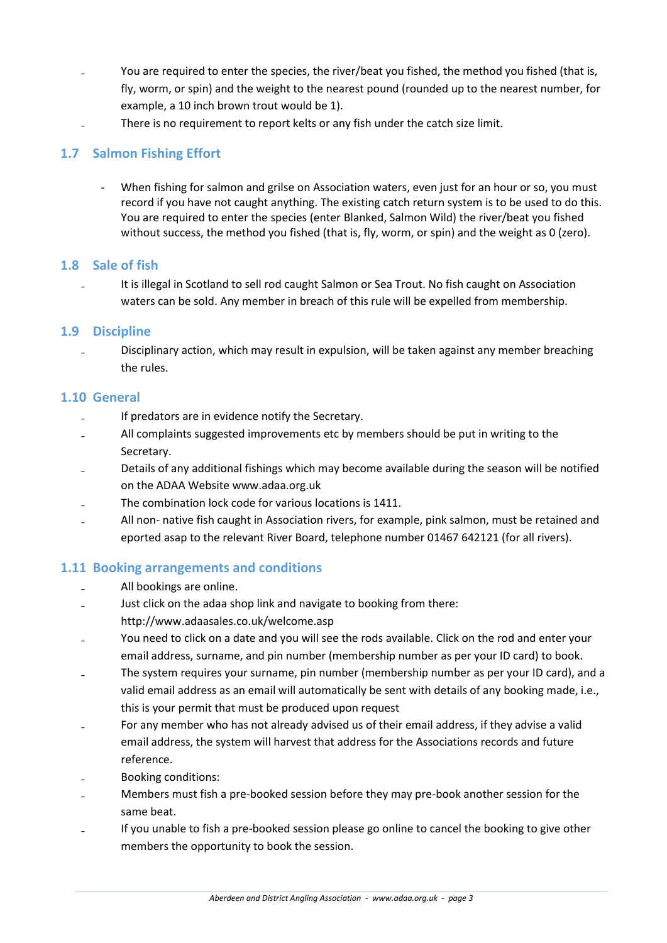- You are required to enter the species, the river/beat you fished, the method you fished (that is, fly, worm, or spin) and the weight to the nearest pound (rounded up to the nearest number, for example, a 10 inch brown trout would be 1).
- There is no requirement to report kelts or any fish under the catch size limit.

# **1.7 Salmon Fishing Effort**

When fishing for salmon and grilse on Association waters, even just for an hour or so, you must record if you have not caught anything. The existing catch return system is to be used to do this. You are required to enter the species (enter Blanked, Salmon Wild) the river/beat you fished without success, the method you fished (that is, fly, worm, or spin) and the weight as 0 (zero).

#### **1.8 Sale of fish**

It is illegal in Scotland to sell rod caught Salmon or Sea Trout. No fish caught on Association waters can be sold. Any member in breach of this rule will be expelled from membership.

# **1.9 Discipline**

₋ Disciplinary action, which may result in expulsion, will be taken against any member breaching the rules.

#### **1.10 General**

- If predators are in evidence notify the Secretary.
- ₋ All complaints suggested improvements etc by members should be put in writing to the Secretary.
- Details of any additional fishings which may become available during the season will be notified on the ADAA Website www.adaa.org.uk
- ₋ The combination lock code for various locations is 1411.
- All non- native fish caught in Association rivers, for example, pink salmon, must be retained and eported asap to the relevant River Board, telephone number 01467 642121 (for all rivers).

# **1.11 Booking arrangements and conditions**

- All bookings are online.
- Just click on the adaa shop link and navigate to booking from there: http://www.adaasales.co.uk/welcome.asp
- You need to click on a date and you will see the rods available. Click on the rod and enter your email address, surname, and pin number (membership number as per your ID card) to book.
- The system requires your surname, pin number (membership number as per your ID card), and a valid email address as an email will automatically be sent with details of any booking made, i.e., this is your permit that must be produced upon request
- For any member who has not already advised us of their email address, if they advise a valid email address, the system will harvest that address for the Associations records and future reference.
- ₋ Booking conditions:
- Members must fish a pre-booked session before they may pre-book another session for the same beat.
- ₋ If you unable to fish a pre-booked session please go online to cancel the booking to give other members the opportunity to book the session.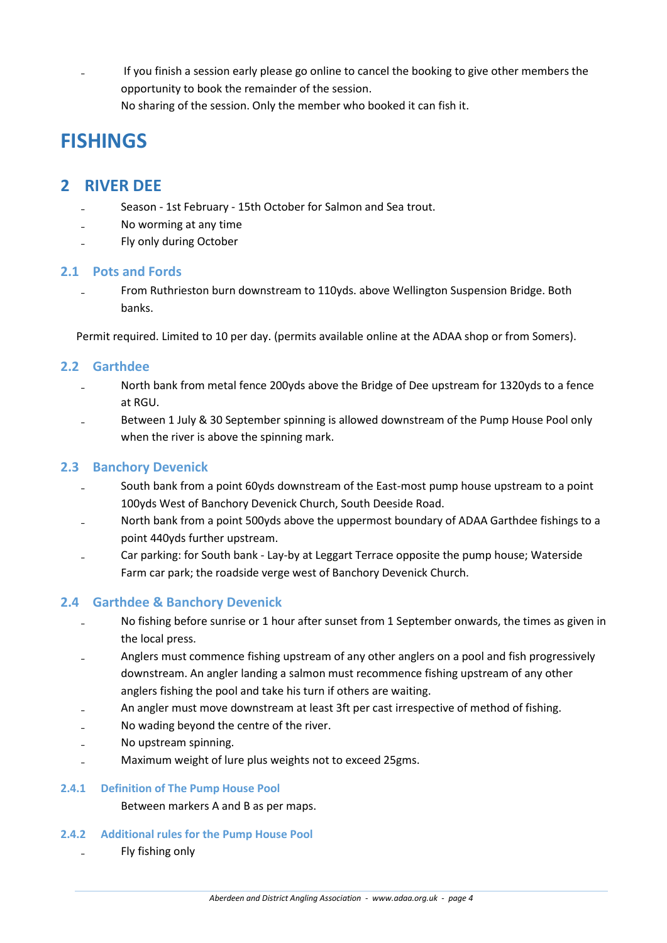₋ If you finish a session early please go online to cancel the booking to give other members the opportunity to book the remainder of the session. No sharing of the session. Only the member who booked it can fish it.

# **FISHINGS**

# **2 RIVER DEE**

- Season 1st February 15th October for Salmon and Sea trout.
- ₋ No worming at any time
- ₋ Fly only during October

# **2.1 Pots and Fords**

From Ruthrieston burn downstream to 110yds. above Wellington Suspension Bridge. Both banks.

Permit required. Limited to 10 per day. (permits available online at the ADAA shop or from Somers).

#### **2.2 Garthdee**

- North bank from metal fence 200yds above the Bridge of Dee upstream for 1320yds to a fence at RGU.
- Between 1 July & 30 September spinning is allowed downstream of the Pump House Pool only when the river is above the spinning mark.

### **2.3 Banchory Devenick**

- South bank from a point 60yds downstream of the East-most pump house upstream to a point 100yds West of Banchory Devenick Church, South Deeside Road.
- North bank from a point 500yds above the uppermost boundary of ADAA Garthdee fishings to a point 440yds further upstream.
- Car parking: for South bank Lay-by at Leggart Terrace opposite the pump house; Waterside Farm car park; the roadside verge west of Banchory Devenick Church.

# **2.4 Garthdee & Banchory Devenick**

- No fishing before sunrise or 1 hour after sunset from 1 September onwards, the times as given in the local press.
- Anglers must commence fishing upstream of any other anglers on a pool and fish progressively downstream. An angler landing a salmon must recommence fishing upstream of any other anglers fishing the pool and take his turn if others are waiting.
- An angler must move downstream at least 3ft per cast irrespective of method of fishing.
- ₋ No wading beyond the centre of the river.
- ₋ No upstream spinning.
- ₋ Maximum weight of lure plus weights not to exceed 25gms.

#### **2.4.1 Definition of The Pump House Pool**

Between markers A and B as per maps.

#### **2.4.2 Additional rules for the Pump House Pool**

₋ Fly fishing only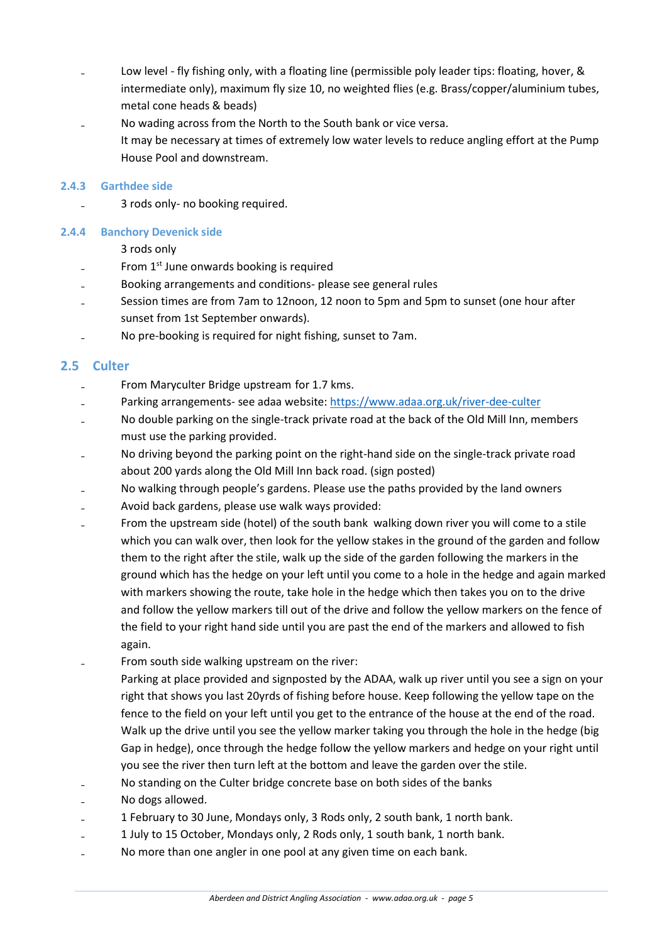- Low level fly fishing only, with a floating line (permissible poly leader tips: floating, hover, & intermediate only), maximum fly size 10, no weighted flies (e.g. Brass/copper/aluminium tubes, metal cone heads & beads)
- ₋ No wading across from the North to the South bank or vice versa. It may be necessary at times of extremely low water levels to reduce angling effort at the Pump House Pool and downstream.

#### **2.4.3 Garthdee side**

₋ 3 rods only- no booking required.

#### **2.4.4 Banchory Devenick side**

#### 3 rods only

- From 1<sup>st</sup> June onwards booking is required
- ₋ Booking arrangements and conditions- please see general rules
- Session times are from 7am to 12noon, 12 noon to 5pm and 5pm to sunset (one hour after sunset from 1st September onwards).
- ₋ No pre-booking is required for night fishing, sunset to 7am.

# **2.5 Culter**

- From Maryculter Bridge upstream for 1.7 kms.
- Parking arrangements- see adaa website: <https://www.adaa.org.uk/river-dee-culter>
- No double parking on the single-track private road at the back of the Old Mill Inn, members must use the parking provided.
- No driving beyond the parking point on the right-hand side on the single-track private road about 200 yards along the Old Mill Inn back road. (sign posted)
- No walking through people's gardens. Please use the paths provided by the land owners
- ₋ Avoid back gardens, please use walk ways provided:
- From the upstream side (hotel) of the south bank walking down river you will come to a stile which you can walk over, then look for the yellow stakes in the ground of the garden and follow them to the right after the stile, walk up the side of the garden following the markers in the ground which has the hedge on your left until you come to a hole in the hedge and again marked with markers showing the route, take hole in the hedge which then takes you on to the drive and follow the yellow markers till out of the drive and follow the yellow markers on the fence of the field to your right hand side until you are past the end of the markers and allowed to fish again.
- From south side walking upstream on the river:
	- Parking at place provided and signposted by the ADAA, walk up river until you see a sign on your right that shows you last 20yrds of fishing before house. Keep following the yellow tape on the fence to the field on your left until you get to the entrance of the house at the end of the road. Walk up the drive until you see the yellow marker taking you through the hole in the hedge (big Gap in hedge), once through the hedge follow the yellow markers and hedge on your right until you see the river then turn left at the bottom and leave the garden over the stile.
- No standing on the Culter bridge concrete base on both sides of the banks
- No dogs allowed.
- ₋ 1 February to 30 June, Mondays only, 3 Rods only, 2 south bank, 1 north bank.
- ₋ 1 July to 15 October, Mondays only, 2 Rods only, 1 south bank, 1 north bank.
- No more than one angler in one pool at any given time on each bank.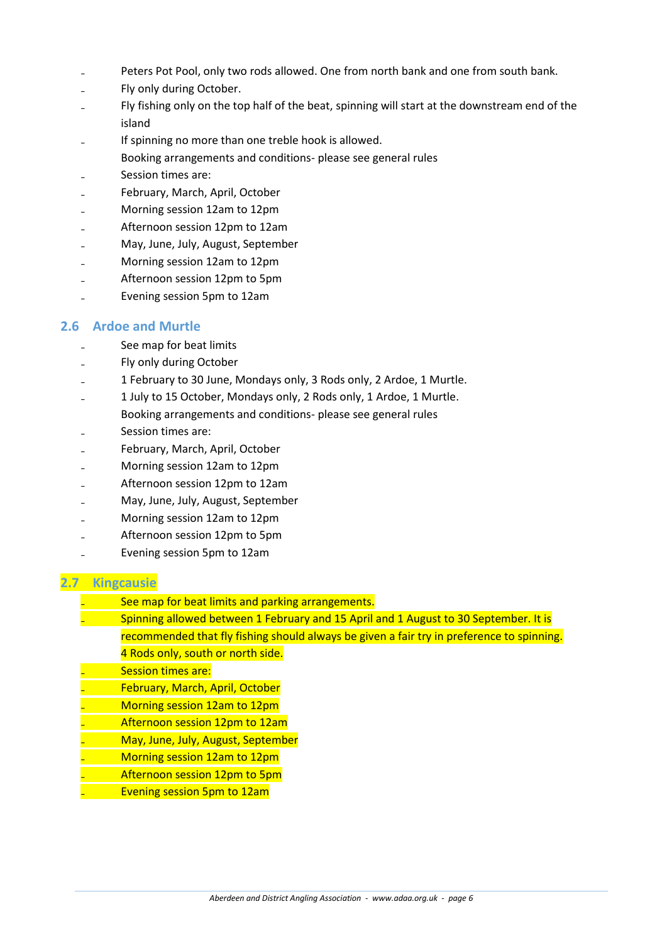- Peters Pot Pool, only two rods allowed. One from north bank and one from south bank.
- Fly only during October.
- Fly fishing only on the top half of the beat, spinning will start at the downstream end of the island
- If spinning no more than one treble hook is allowed.
- Booking arrangements and conditions- please see general rules
- Session times are:
- ₋ February, March, April, October
- ₋ Morning session 12am to 12pm
- ₋ Afternoon session 12pm to 12am
- ₋ May, June, July, August, September
- ₋ Morning session 12am to 12pm
- ₋ Afternoon session 12pm to 5pm
- ₋ Evening session 5pm to 12am

#### **2.6 Ardoe and Murtle**

- See map for beat limits
- ₋ Fly only during October
- ₋ 1 February to 30 June, Mondays only, 3 Rods only, 2 Ardoe, 1 Murtle.
- ₋ 1 July to 15 October, Mondays only, 2 Rods only, 1 Ardoe, 1 Murtle. Booking arrangements and conditions- please see general rules
- Session times are:
- ₋ February, March, April, October
- ₋ Morning session 12am to 12pm
- ₋ Afternoon session 12pm to 12am
- ₋ May, June, July, August, September
- ₋ Morning session 12am to 12pm
- ₋ Afternoon session 12pm to 5pm
- ₋ Evening session 5pm to 12am

#### **2.7 Kingcausie**

- See map for beat limits and parking arrangements.
- Spinning allowed between 1 February and 15 April and 1 August to 30 September. It is recommended that fly fishing should always be given a fair try in preference to spinning.
	- 4 Rods only, south or north side.
- Session times are:
- ₋ February, March, April, October
- ₋ Morning session 12am to 12pm
- ₋ Afternoon session 12pm to 12am
- ₋ May, June, July, August, September
- ₋ Morning session 12am to 12pm
- ₋ Afternoon session 12pm to 5pm
	- ₋ Evening session 5pm to 12am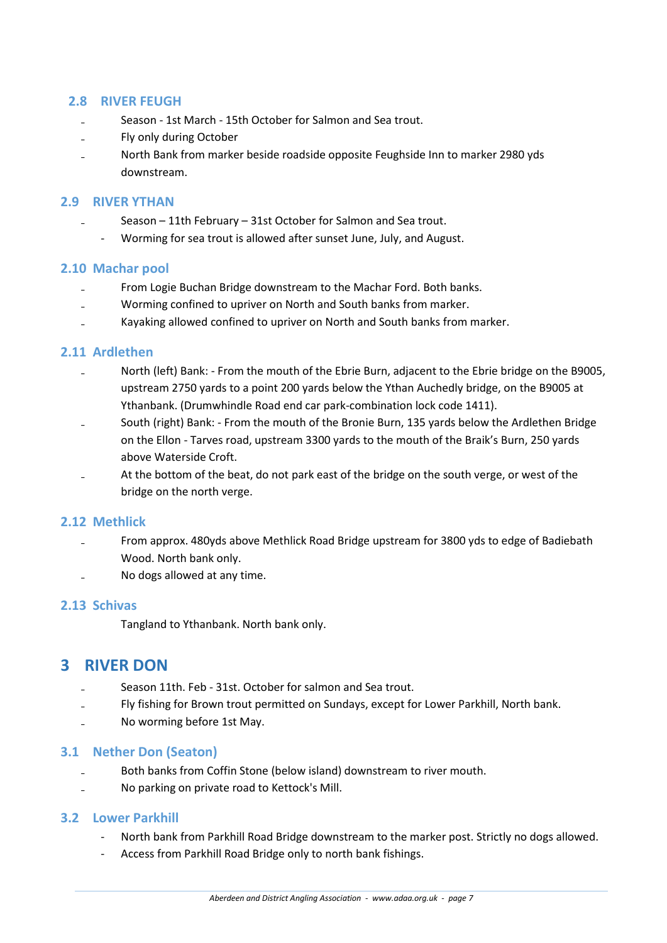### **2.8 RIVER FEUGH**

- Season 1st March 15th October for Salmon and Sea trout.
- ₋ Fly only during October
- ₋ North Bank from marker beside roadside opposite Feughside Inn to marker 2980 yds downstream.

#### **2.9 RIVER YTHAN**

- Season 11th February 31st October for Salmon and Sea trout.
	- Worming for sea trout is allowed after sunset June, July, and August.

#### **2.10 Machar pool**

- ₋ From Logie Buchan Bridge downstream to the Machar Ford. Both banks.
- Worming confined to upriver on North and South banks from marker.
- ₋ Kayaking allowed confined to upriver on North and South banks from marker.

#### **2.11 Ardlethen**

- North (left) Bank: From the mouth of the Ebrie Burn, adjacent to the Ebrie bridge on the B9005, upstream 2750 yards to a point 200 yards below the Ythan Auchedly bridge, on the B9005 at Ythanbank. (Drumwhindle Road end car park-combination lock code 1411).
- South (right) Bank: From the mouth of the Bronie Burn, 135 yards below the Ardlethen Bridge on the Ellon - Tarves road, upstream 3300 yards to the mouth of the Braik's Burn, 250 yards above Waterside Croft.
- At the bottom of the beat, do not park east of the bridge on the south verge, or west of the bridge on the north verge.

#### **2.12 Methlick**

- ₋ From approx. 480yds above Methlick Road Bridge upstream for 3800 yds to edge of Badiebath Wood. North bank only.
- ₋ No dogs allowed at any time.

#### **2.13 Schivas**

Tangland to Ythanbank. North bank only.

# **3 RIVER DON**

- Season 11th. Feb 31st. October for salmon and Sea trout.
- Fly fishing for Brown trout permitted on Sundays, except for Lower Parkhill, North bank.
- No worming before 1st May.

#### **3.1 Nether Don (Seaton)**

- ₋ Both banks from Coffin Stone (below island) downstream to river mouth.
- ₋ No parking on private road to Kettock's Mill.

#### **3.2 Lower Parkhill**

- North bank from Parkhill Road Bridge downstream to the marker post. Strictly no dogs allowed.
- Access from Parkhill Road Bridge only to north bank fishings.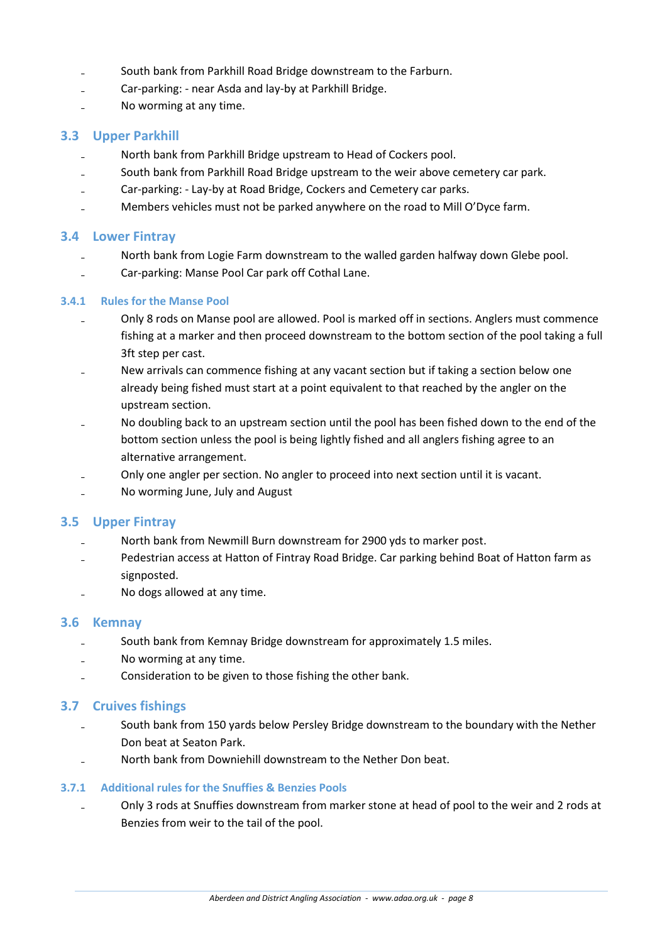- South bank from Parkhill Road Bridge downstream to the Farburn.
- ₋ Car-parking: near Asda and lay-by at Parkhill Bridge.
- No worming at any time.

#### **3.3 Upper Parkhill**

- ₋ North bank from Parkhill Bridge upstream to Head of Cockers pool.
- South bank from Parkhill Road Bridge upstream to the weir above cemetery car park.
- Car-parking: Lay-by at Road Bridge, Cockers and Cemetery car parks.
- ₋ Members vehicles must not be parked anywhere on the road to Mill O'Dyce farm.

#### **3.4 Lower Fintray**

- North bank from Logie Farm downstream to the walled garden halfway down Glebe pool.
- ₋ Car-parking: Manse Pool Car park off Cothal Lane.

#### **3.4.1 Rules for the Manse Pool**

- Only 8 rods on Manse pool are allowed. Pool is marked off in sections. Anglers must commence fishing at a marker and then proceed downstream to the bottom section of the pool taking a full 3ft step per cast.
- ₋ New arrivals can commence fishing at any vacant section but if taking a section below one already being fished must start at a point equivalent to that reached by the angler on the upstream section.
- ₋ No doubling back to an upstream section until the pool has been fished down to the end of the bottom section unless the pool is being lightly fished and all anglers fishing agree to an alternative arrangement.
- ₋ Only one angler per section. No angler to proceed into next section until it is vacant.
- ₋ No worming June, July and August

#### **3.5 Upper Fintray**

- North bank from Newmill Burn downstream for 2900 yds to marker post.
- Pedestrian access at Hatton of Fintray Road Bridge. Car parking behind Boat of Hatton farm as signposted.
- ₋ No dogs allowed at any time.

#### **3.6 Kemnay**

- South bank from Kemnay Bridge downstream for approximately 1.5 miles.
- No worming at any time.
- Consideration to be given to those fishing the other bank.

#### **3.7 Cruives fishings**

- South bank from 150 yards below Persley Bridge downstream to the boundary with the Nether Don beat at Seaton Park.
- ₋ North bank from Downiehill downstream to the Nether Don beat.

#### **3.7.1 Additional rules for the Snuffies & Benzies Pools**

₋ Only 3 rods at Snuffies downstream from marker stone at head of pool to the weir and 2 rods at Benzies from weir to the tail of the pool.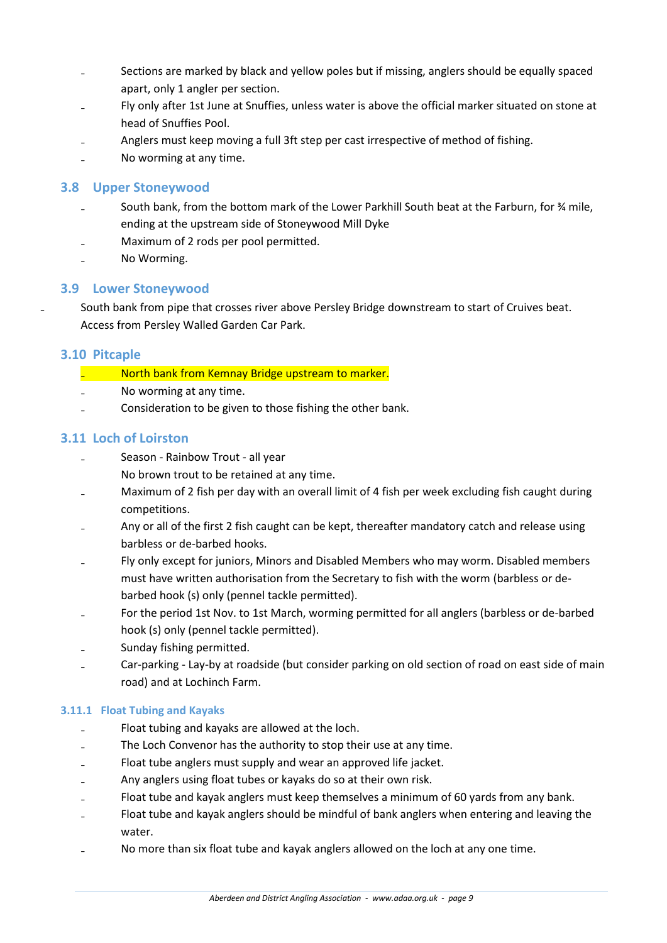- Sections are marked by black and yellow poles but if missing, anglers should be equally spaced apart, only 1 angler per section.
- Fly only after 1st June at Snuffies, unless water is above the official marker situated on stone at head of Snuffies Pool.
- Anglers must keep moving a full 3ft step per cast irrespective of method of fishing.
- ₋ No worming at any time.

### **3.8 Upper Stoneywood**

- South bank, from the bottom mark of the Lower Parkhill South beat at the Farburn, for % mile, ending at the upstream side of Stoneywood Mill Dyke
- ₋ Maximum of 2 rods per pool permitted.
- No Worming.

# **3.9 Lower Stoneywood**

South bank from pipe that crosses river above Persley Bridge downstream to start of Cruives beat. Access from Persley Walled Garden Car Park.

#### **3.10 Pitcaple**

- **Example 20 North bank from Kemnay Bridge upstream to marker.**
- No worming at any time.
- ₋ Consideration to be given to those fishing the other bank.

#### **3.11 Loch of Loirston**

- Season Rainbow Trout all year
	- No brown trout to be retained at any time.
- Maximum of 2 fish per day with an overall limit of 4 fish per week excluding fish caught during competitions.
- Any or all of the first 2 fish caught can be kept, thereafter mandatory catch and release using barbless or de-barbed hooks.
- Fly only except for juniors, Minors and Disabled Members who may worm. Disabled members must have written authorisation from the Secretary to fish with the worm (barbless or debarbed hook (s) only (pennel tackle permitted).
- For the period 1st Nov. to 1st March, worming permitted for all anglers (barbless or de-barbed hook (s) only (pennel tackle permitted).
- Sunday fishing permitted.
- Car-parking Lay-by at roadside (but consider parking on old section of road on east side of main road) and at Lochinch Farm.

#### **3.11.1 Float Tubing and Kayaks**

- Float tubing and kayaks are allowed at the loch.
- The Loch Convenor has the authority to stop their use at any time.
- Float tube anglers must supply and wear an approved life jacket.
- Any anglers using float tubes or kayaks do so at their own risk.
- Float tube and kayak anglers must keep themselves a minimum of 60 yards from any bank.
- Float tube and kayak anglers should be mindful of bank anglers when entering and leaving the water.
- No more than six float tube and kayak anglers allowed on the loch at any one time.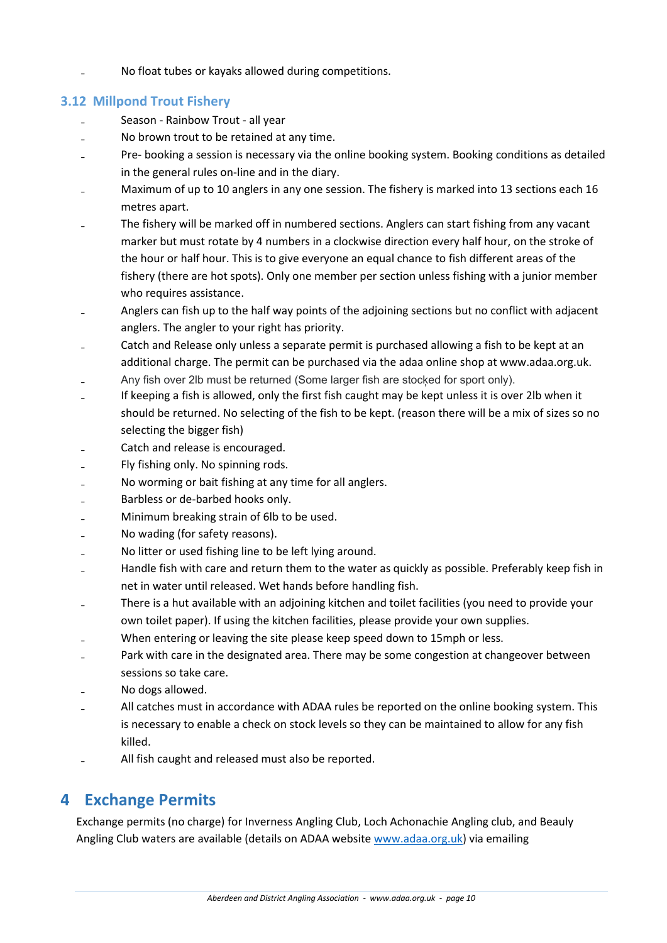No float tubes or kayaks allowed during competitions.

# **3.12 Millpond Trout Fishery**

- Season Rainbow Trout all year
- ₋ No brown trout to be retained at any time.
- Pre- booking a session is necessary via the online booking system. Booking conditions as detailed in the general rules on-line and in the diary.
- Maximum of up to 10 anglers in any one session. The fishery is marked into 13 sections each 16 metres apart.
- ₋ The fishery will be marked off in numbered sections. Anglers can start fishing from any vacant marker but must rotate by 4 numbers in a clockwise direction every half hour, on the stroke of the hour or half hour. This is to give everyone an equal chance to fish different areas of the fishery (there are hot spots). Only one member per section unless fishing with a junior member who requires assistance.
- Anglers can fish up to the half way points of the adjoining sections but no conflict with adjacent anglers. The angler to your right has priority.
- Catch and Release only unless a separate permit is purchased allowing a fish to be kept at an additional charge. The permit can be purchased via the adaa online shop at www.adaa.org.uk.
- Any fish over 2lb must be returned (Some larger fish are stocked for sport only).
- If keeping a fish is allowed, only the first fish caught may be kept unless it is over 2lb when it should be returned. No selecting of the fish to be kept. (reason there will be a mix of sizes so no selecting the bigger fish)
- Catch and release is encouraged.
- ₋ Fly fishing only. No spinning rods.
- ₋ No worming or bait fishing at any time for all anglers.
- ₋ Barbless or de-barbed hooks only.
- ₋ Minimum breaking strain of 6lb to be used.
- ₋ No wading (for safety reasons).
- ₋ No litter or used fishing line to be left lying around.
- Handle fish with care and return them to the water as quickly as possible. Preferably keep fish in net in water until released. Wet hands before handling fish.
- ₋ There is a hut available with an adjoining kitchen and toilet facilities (you need to provide your own toilet paper). If using the kitchen facilities, please provide your own supplies.
- When entering or leaving the site please keep speed down to 15mph or less.
- Park with care in the designated area. There may be some congestion at changeover between sessions so take care.
- No dogs allowed.
- All catches must in accordance with ADAA rules be reported on the online booking system. This is necessary to enable a check on stock levels so they can be maintained to allow for any fish killed.
- All fish caught and released must also be reported.

# **4 Exchange Permits**

Exchange permits (no charge) for Inverness Angling Club, Loch Achonachie Angling club, and Beauly Angling Club waters are available (details on ADAA website [www.adaa.org.uk\)](http://www.adaa.org.uk/) via emailing